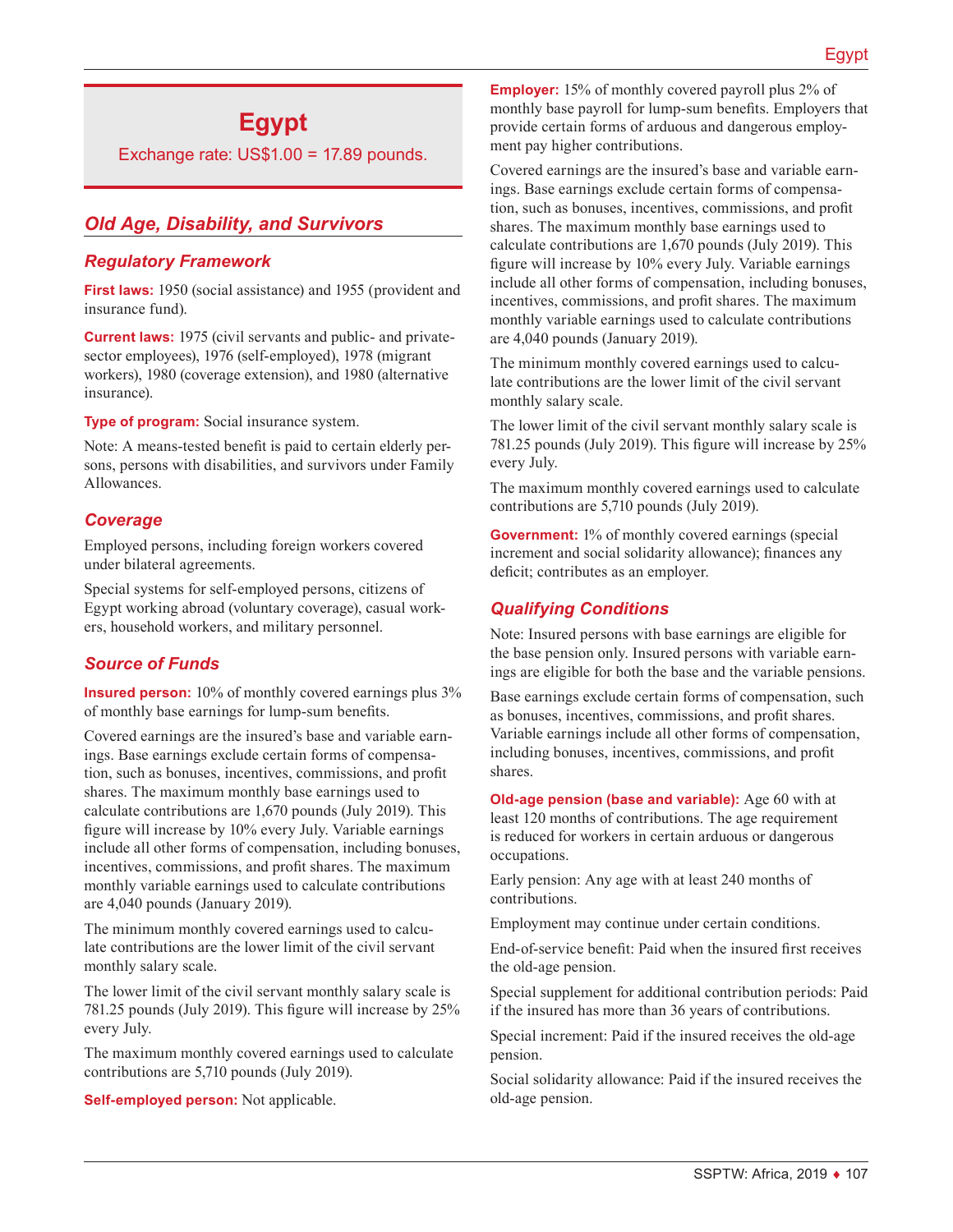# **Egypt**

Exchange rate: US\$1.00 = 17.89 pounds.

## *Old Age, Disability, and Survivors*

### *Regulatory Framework*

**First laws:** 1950 (social assistance) and 1955 (provident and insurance fund).

**Current laws:** 1975 (civil servants and public- and privatesector employees), 1976 (self-employed), 1978 (migrant workers), 1980 (coverage extension), and 1980 (alternative insurance).

**Type of program:** Social insurance system.

Note: A means-tested benefit is paid to certain elderly persons, persons with disabilities, and survivors under Family Allowances.

#### *Coverage*

Employed persons, including foreign workers covered under bilateral agreements.

Special systems for self-employed persons, citizens of Egypt working abroad (voluntary coverage), casual workers, household workers, and military personnel.

## *Source of Funds*

**Insured person:** 10% of monthly covered earnings plus 3% of monthly base earnings for lump-sum benefits.

Covered earnings are the insured's base and variable earnings. Base earnings exclude certain forms of compensation, such as bonuses, incentives, commissions, and profit shares. The maximum monthly base earnings used to calculate contributions are 1,670 pounds (July 2019). This figure will increase by 10% every July. Variable earnings include all other forms of compensation, including bonuses, incentives, commissions, and profit shares. The maximum monthly variable earnings used to calculate contributions are 4,040 pounds (January 2019).

The minimum monthly covered earnings used to calculate contributions are the lower limit of the civil servant monthly salary scale.

The lower limit of the civil servant monthly salary scale is 781.25 pounds (July 2019). This figure will increase by 25% every July.

The maximum monthly covered earnings used to calculate contributions are 5,710 pounds (July 2019).

**Self-employed person:** Not applicable.

**Employer:** 15% of monthly covered payroll plus 2% of monthly base payroll for lump-sum benefits. Employers that provide certain forms of arduous and dangerous employment pay higher contributions.

Covered earnings are the insured's base and variable earnings. Base earnings exclude certain forms of compensation, such as bonuses, incentives, commissions, and profit shares. The maximum monthly base earnings used to calculate contributions are 1,670 pounds (July 2019). This figure will increase by 10% every July. Variable earnings include all other forms of compensation, including bonuses, incentives, commissions, and profit shares. The maximum monthly variable earnings used to calculate contributions are 4,040 pounds (January 2019).

The minimum monthly covered earnings used to calculate contributions are the lower limit of the civil servant monthly salary scale.

The lower limit of the civil servant monthly salary scale is 781.25 pounds (July 2019). This figure will increase by 25% every July.

The maximum monthly covered earnings used to calculate contributions are 5,710 pounds (July 2019).

**Government:** 1% of monthly covered earnings (special increment and social solidarity allowance); finances any deficit; contributes as an employer.

#### *Qualifying Conditions*

Note: Insured persons with base earnings are eligible for the base pension only. Insured persons with variable earnings are eligible for both the base and the variable pensions.

Base earnings exclude certain forms of compensation, such as bonuses, incentives, commissions, and profit shares. Variable earnings include all other forms of compensation, including bonuses, incentives, commissions, and profit shares.

**Old-age pension (base and variable):** Age 60 with at least 120 months of contributions. The age requirement is reduced for workers in certain arduous or dangerous occupations.

Early pension: Any age with at least 240 months of contributions.

Employment may continue under certain conditions.

End-of-service benefit: Paid when the insured first receives the old-age pension.

Special supplement for additional contribution periods: Paid if the insured has more than 36 years of contributions.

Special increment: Paid if the insured receives the old-age pension.

Social solidarity allowance: Paid if the insured receives the old-age pension.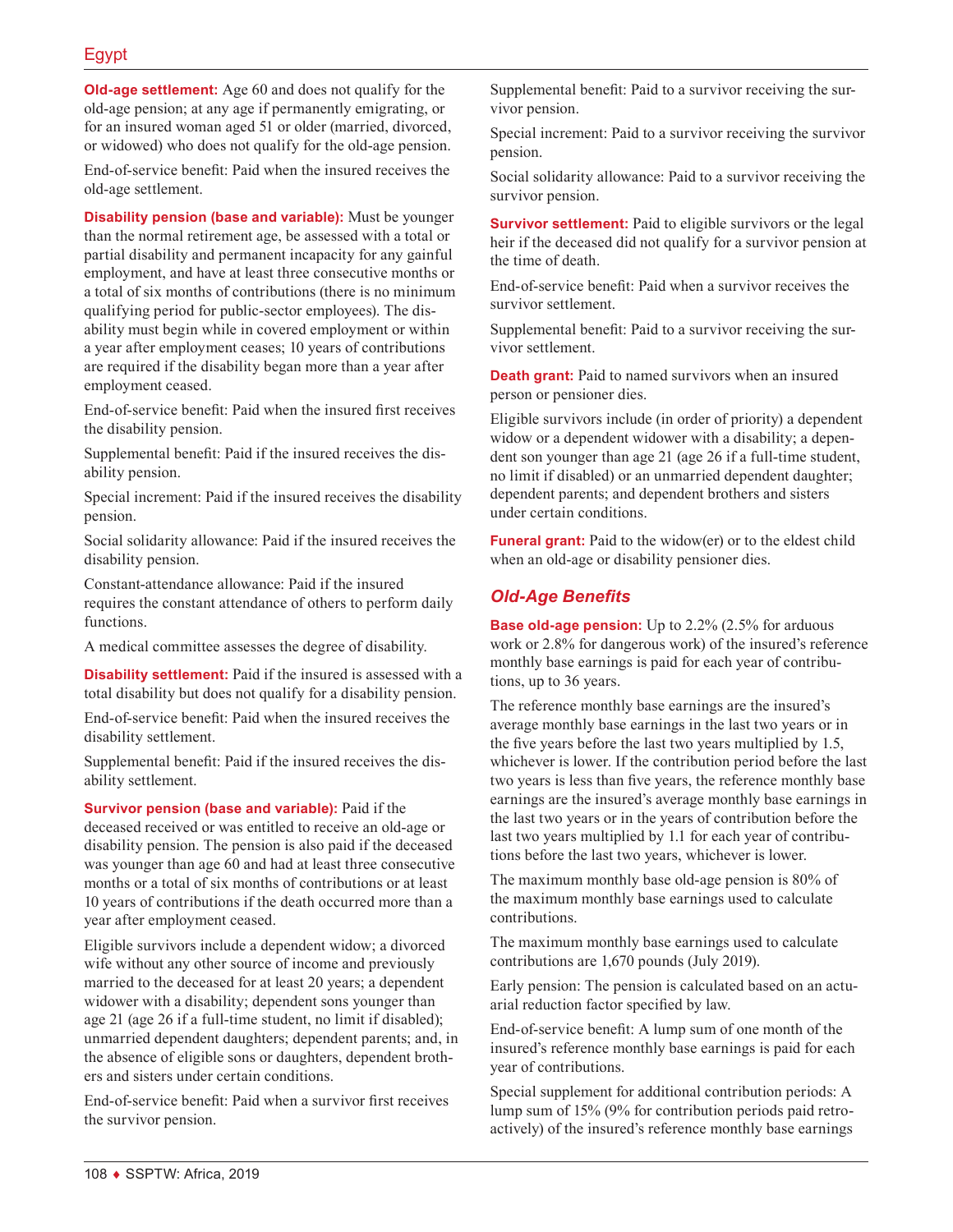**Old-age settlement:** Age 60 and does not qualify for the old-age pension; at any age if permanently emigrating, or for an insured woman aged 51 or older (married, divorced, or widowed) who does not qualify for the old-age pension.

End-of-service benefit: Paid when the insured receives the old-age settlement.

**Disability pension (base and variable):** Must be younger than the normal retirement age, be assessed with a total or partial disability and permanent incapacity for any gainful employment, and have at least three consecutive months or a total of six months of contributions (there is no minimum qualifying period for public-sector employees). The disability must begin while in covered employment or within a year after employment ceases; 10 years of contributions are required if the disability began more than a year after employment ceased.

End-of-service benefit: Paid when the insured first receives the disability pension.

Supplemental benefit: Paid if the insured receives the disability pension.

Special increment: Paid if the insured receives the disability pension.

Social solidarity allowance: Paid if the insured receives the disability pension.

Constant-attendance allowance: Paid if the insured requires the constant attendance of others to perform daily functions.

A medical committee assesses the degree of disability.

**Disability settlement:** Paid if the insured is assessed with a total disability but does not qualify for a disability pension.

End-of-service benefit: Paid when the insured receives the disability settlement.

Supplemental benefit: Paid if the insured receives the disability settlement.

**Survivor pension (base and variable):** Paid if the deceased received or was entitled to receive an old-age or disability pension. The pension is also paid if the deceased was younger than age 60 and had at least three consecutive months or a total of six months of contributions or at least 10 years of contributions if the death occurred more than a year after employment ceased.

Eligible survivors include a dependent widow; a divorced wife without any other source of income and previously married to the deceased for at least 20 years; a dependent widower with a disability; dependent sons younger than age 21 (age 26 if a full-time student, no limit if disabled); unmarried dependent daughters; dependent parents; and, in the absence of eligible sons or daughters, dependent brothers and sisters under certain conditions.

End-of-service benefit: Paid when a survivor first receives the survivor pension.

Supplemental benefit: Paid to a survivor receiving the survivor pension.

Special increment: Paid to a survivor receiving the survivor pension.

Social solidarity allowance: Paid to a survivor receiving the survivor pension.

**Survivor settlement:** Paid to eligible survivors or the legal heir if the deceased did not qualify for a survivor pension at the time of death.

End-of-service benefit: Paid when a survivor receives the survivor settlement.

Supplemental benefit: Paid to a survivor receiving the survivor settlement.

**Death grant:** Paid to named survivors when an insured person or pensioner dies.

Eligible survivors include (in order of priority) a dependent widow or a dependent widower with a disability; a dependent son younger than age 21 (age 26 if a full-time student, no limit if disabled) or an unmarried dependent daughter; dependent parents; and dependent brothers and sisters under certain conditions.

**Funeral grant:** Paid to the widow(er) or to the eldest child when an old-age or disability pensioner dies.

### *Old-Age Benefits*

**Base old-age pension:** Up to 2.2% (2.5% for arduous work or 2.8% for dangerous work) of the insured's reference monthly base earnings is paid for each year of contributions, up to 36 years.

The reference monthly base earnings are the insured's average monthly base earnings in the last two years or in the five years before the last two years multiplied by 1.5, whichever is lower. If the contribution period before the last two years is less than five years, the reference monthly base earnings are the insured's average monthly base earnings in the last two years or in the years of contribution before the last two years multiplied by 1.1 for each year of contributions before the last two years, whichever is lower.

The maximum monthly base old-age pension is 80% of the maximum monthly base earnings used to calculate contributions.

The maximum monthly base earnings used to calculate contributions are 1,670 pounds (July 2019).

Early pension: The pension is calculated based on an actuarial reduction factor specified by law.

End-of-service benefit: A lump sum of one month of the insured's reference monthly base earnings is paid for each year of contributions.

Special supplement for additional contribution periods: A lump sum of 15% (9% for contribution periods paid retroactively) of the insured's reference monthly base earnings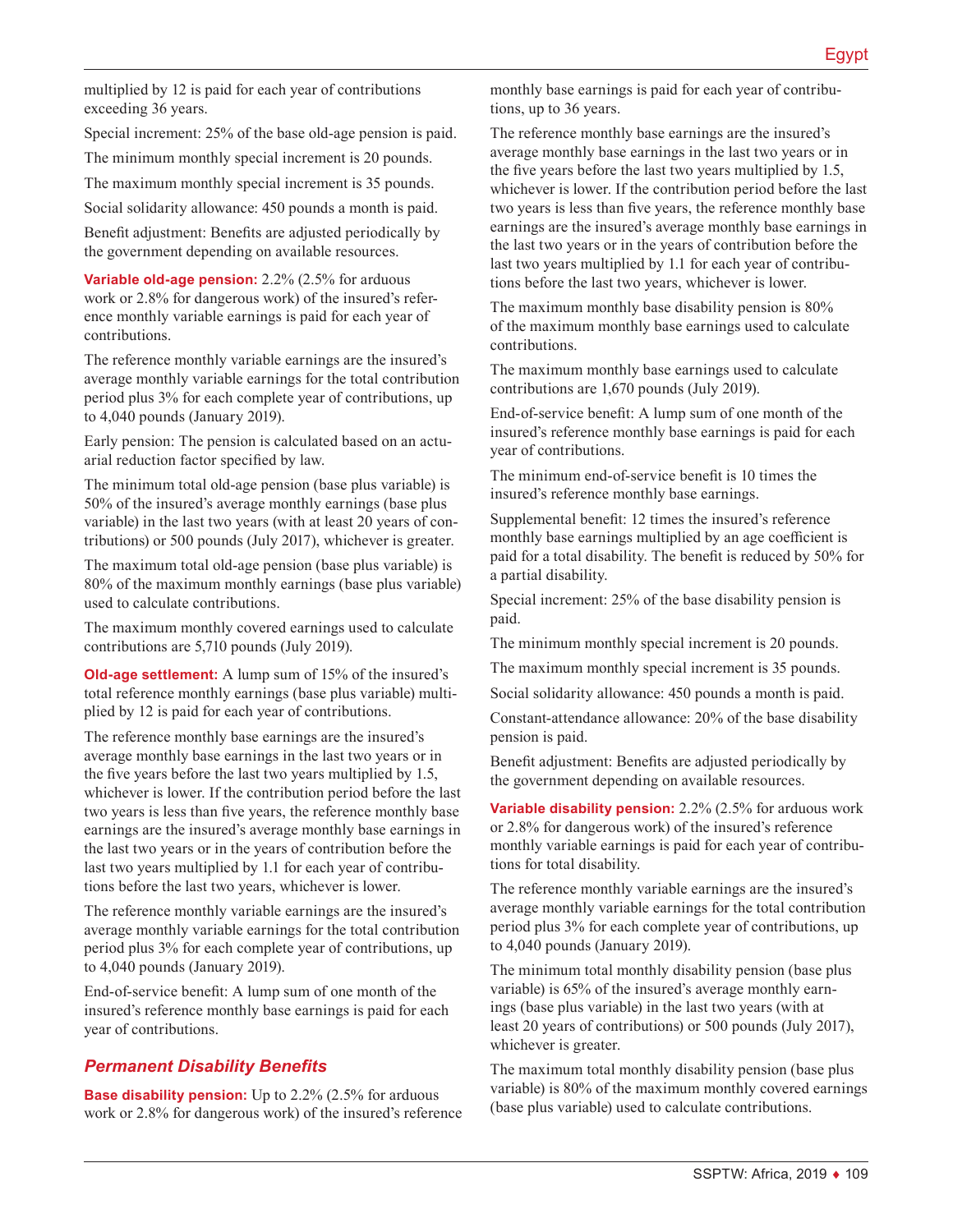multiplied by 12 is paid for each year of contributions exceeding 36 years.

Special increment: 25% of the base old-age pension is paid.

The minimum monthly special increment is 20 pounds.

The maximum monthly special increment is 35 pounds.

Social solidarity allowance: 450 pounds a month is paid.

Benefit adjustment: Benefits are adjusted periodically by the government depending on available resources.

**Variable old-age pension:** 2.2% (2.5% for arduous work or 2.8% for dangerous work) of the insured's reference monthly variable earnings is paid for each year of contributions.

The reference monthly variable earnings are the insured's average monthly variable earnings for the total contribution period plus 3% for each complete year of contributions, up to 4,040 pounds (January 2019).

Early pension: The pension is calculated based on an actuarial reduction factor specified by law.

The minimum total old-age pension (base plus variable) is 50% of the insured's average monthly earnings (base plus variable) in the last two years (with at least 20 years of contributions) or 500 pounds (July 2017), whichever is greater.

The maximum total old-age pension (base plus variable) is 80% of the maximum monthly earnings (base plus variable) used to calculate contributions.

The maximum monthly covered earnings used to calculate contributions are 5,710 pounds (July 2019).

**Old-age settlement:** A lump sum of 15% of the insured's total reference monthly earnings (base plus variable) multiplied by 12 is paid for each year of contributions.

The reference monthly base earnings are the insured's average monthly base earnings in the last two years or in the five years before the last two years multiplied by 1.5, whichever is lower. If the contribution period before the last two years is less than five years, the reference monthly base earnings are the insured's average monthly base earnings in the last two years or in the years of contribution before the last two years multiplied by 1.1 for each year of contributions before the last two years, whichever is lower.

The reference monthly variable earnings are the insured's average monthly variable earnings for the total contribution period plus 3% for each complete year of contributions, up to 4,040 pounds (January 2019).

End-of-service benefit: A lump sum of one month of the insured's reference monthly base earnings is paid for each year of contributions.

### *Permanent Disability Benefits*

**Base disability pension:** Up to 2.2% (2.5% for arduous work or 2.8% for dangerous work) of the insured's reference monthly base earnings is paid for each year of contributions, up to 36 years.

The reference monthly base earnings are the insured's average monthly base earnings in the last two years or in the five years before the last two years multiplied by 1.5, whichever is lower. If the contribution period before the last two years is less than five years, the reference monthly base earnings are the insured's average monthly base earnings in the last two years or in the years of contribution before the last two years multiplied by 1.1 for each year of contributions before the last two years, whichever is lower.

The maximum monthly base disability pension is 80% of the maximum monthly base earnings used to calculate contributions.

The maximum monthly base earnings used to calculate contributions are 1,670 pounds (July 2019).

End-of-service benefit: A lump sum of one month of the insured's reference monthly base earnings is paid for each year of contributions.

The minimum end-of-service benefit is 10 times the insured's reference monthly base earnings.

Supplemental benefit: 12 times the insured's reference monthly base earnings multiplied by an age coefficient is paid for a total disability. The benefit is reduced by 50% for a partial disability.

Special increment: 25% of the base disability pension is paid.

The minimum monthly special increment is 20 pounds.

The maximum monthly special increment is 35 pounds.

Social solidarity allowance: 450 pounds a month is paid.

Constant-attendance allowance: 20% of the base disability pension is paid.

Benefit adjustment: Benefits are adjusted periodically by the government depending on available resources.

**Variable disability pension:** 2.2% (2.5% for arduous work or 2.8% for dangerous work) of the insured's reference monthly variable earnings is paid for each year of contributions for total disability.

The reference monthly variable earnings are the insured's average monthly variable earnings for the total contribution period plus 3% for each complete year of contributions, up to 4,040 pounds (January 2019).

The minimum total monthly disability pension (base plus variable) is 65% of the insured's average monthly earnings (base plus variable) in the last two years (with at least 20 years of contributions) or 500 pounds (July 2017), whichever is greater.

The maximum total monthly disability pension (base plus variable) is 80% of the maximum monthly covered earnings (base plus variable) used to calculate contributions.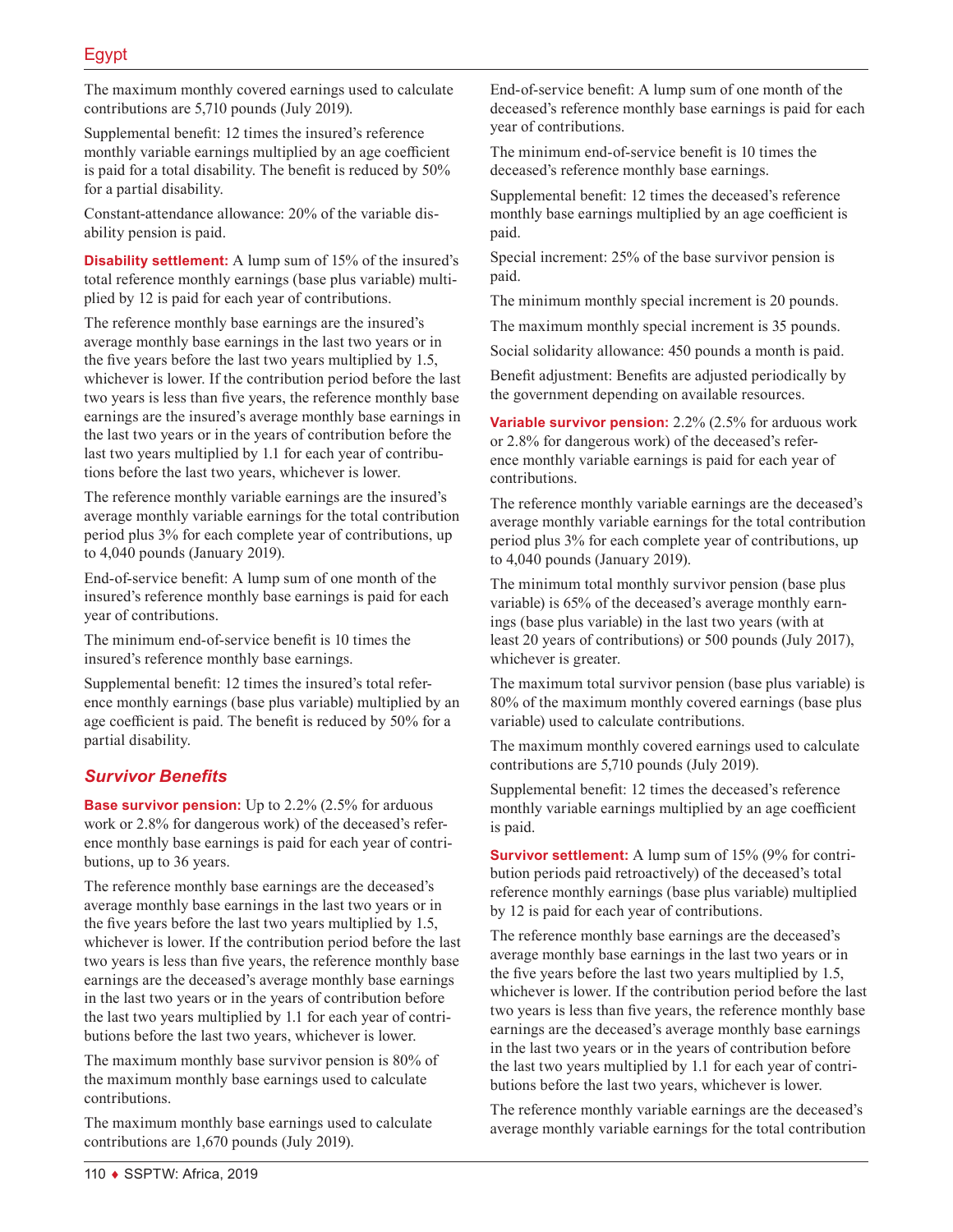The maximum monthly covered earnings used to calculate contributions are 5,710 pounds (July 2019).

Supplemental benefit: 12 times the insured's reference monthly variable earnings multiplied by an age coefficient is paid for a total disability. The benefit is reduced by 50% for a partial disability.

Constant-attendance allowance: 20% of the variable disability pension is paid.

**Disability settlement:** A lump sum of 15% of the insured's total reference monthly earnings (base plus variable) multiplied by 12 is paid for each year of contributions.

The reference monthly base earnings are the insured's average monthly base earnings in the last two years or in the five years before the last two years multiplied by 1.5, whichever is lower. If the contribution period before the last two years is less than five years, the reference monthly base earnings are the insured's average monthly base earnings in the last two years or in the years of contribution before the last two years multiplied by 1.1 for each year of contributions before the last two years, whichever is lower.

The reference monthly variable earnings are the insured's average monthly variable earnings for the total contribution period plus 3% for each complete year of contributions, up to 4,040 pounds (January 2019).

End-of-service benefit: A lump sum of one month of the insured's reference monthly base earnings is paid for each year of contributions.

The minimum end-of-service benefit is 10 times the insured's reference monthly base earnings.

Supplemental benefit: 12 times the insured's total reference monthly earnings (base plus variable) multiplied by an age coefficient is paid. The benefit is reduced by 50% for a partial disability.

### *Survivor Benefits*

**Base survivor pension:** Up to 2.2% (2.5% for arduous work or 2.8% for dangerous work) of the deceased's reference monthly base earnings is paid for each year of contributions, up to 36 years.

The reference monthly base earnings are the deceased's average monthly base earnings in the last two years or in the five years before the last two years multiplied by 1.5, whichever is lower. If the contribution period before the last two years is less than five years, the reference monthly base earnings are the deceased's average monthly base earnings in the last two years or in the years of contribution before the last two years multiplied by 1.1 for each year of contributions before the last two years, whichever is lower.

The maximum monthly base survivor pension is 80% of the maximum monthly base earnings used to calculate contributions.

The maximum monthly base earnings used to calculate contributions are 1,670 pounds (July 2019).

End-of-service benefit: A lump sum of one month of the deceased's reference monthly base earnings is paid for each year of contributions.

The minimum end-of-service benefit is 10 times the deceased's reference monthly base earnings.

Supplemental benefit: 12 times the deceased's reference monthly base earnings multiplied by an age coefficient is paid.

Special increment: 25% of the base survivor pension is paid.

The minimum monthly special increment is 20 pounds.

The maximum monthly special increment is 35 pounds.

Social solidarity allowance: 450 pounds a month is paid.

Benefit adjustment: Benefits are adjusted periodically by the government depending on available resources.

**Variable survivor pension:** 2.2% (2.5% for arduous work or 2.8% for dangerous work) of the deceased's reference monthly variable earnings is paid for each year of contributions.

The reference monthly variable earnings are the deceased's average monthly variable earnings for the total contribution period plus 3% for each complete year of contributions, up to 4,040 pounds (January 2019).

The minimum total monthly survivor pension (base plus variable) is 65% of the deceased's average monthly earnings (base plus variable) in the last two years (with at least 20 years of contributions) or 500 pounds (July 2017), whichever is greater.

The maximum total survivor pension (base plus variable) is 80% of the maximum monthly covered earnings (base plus variable) used to calculate contributions.

The maximum monthly covered earnings used to calculate contributions are 5,710 pounds (July 2019).

Supplemental benefit: 12 times the deceased's reference monthly variable earnings multiplied by an age coefficient is paid.

**Survivor settlement:** A lump sum of 15% (9% for contribution periods paid retroactively) of the deceased's total reference monthly earnings (base plus variable) multiplied by 12 is paid for each year of contributions.

The reference monthly base earnings are the deceased's average monthly base earnings in the last two years or in the five years before the last two years multiplied by 1.5, whichever is lower. If the contribution period before the last two years is less than five years, the reference monthly base earnings are the deceased's average monthly base earnings in the last two years or in the years of contribution before the last two years multiplied by 1.1 for each year of contributions before the last two years, whichever is lower.

The reference monthly variable earnings are the deceased's average monthly variable earnings for the total contribution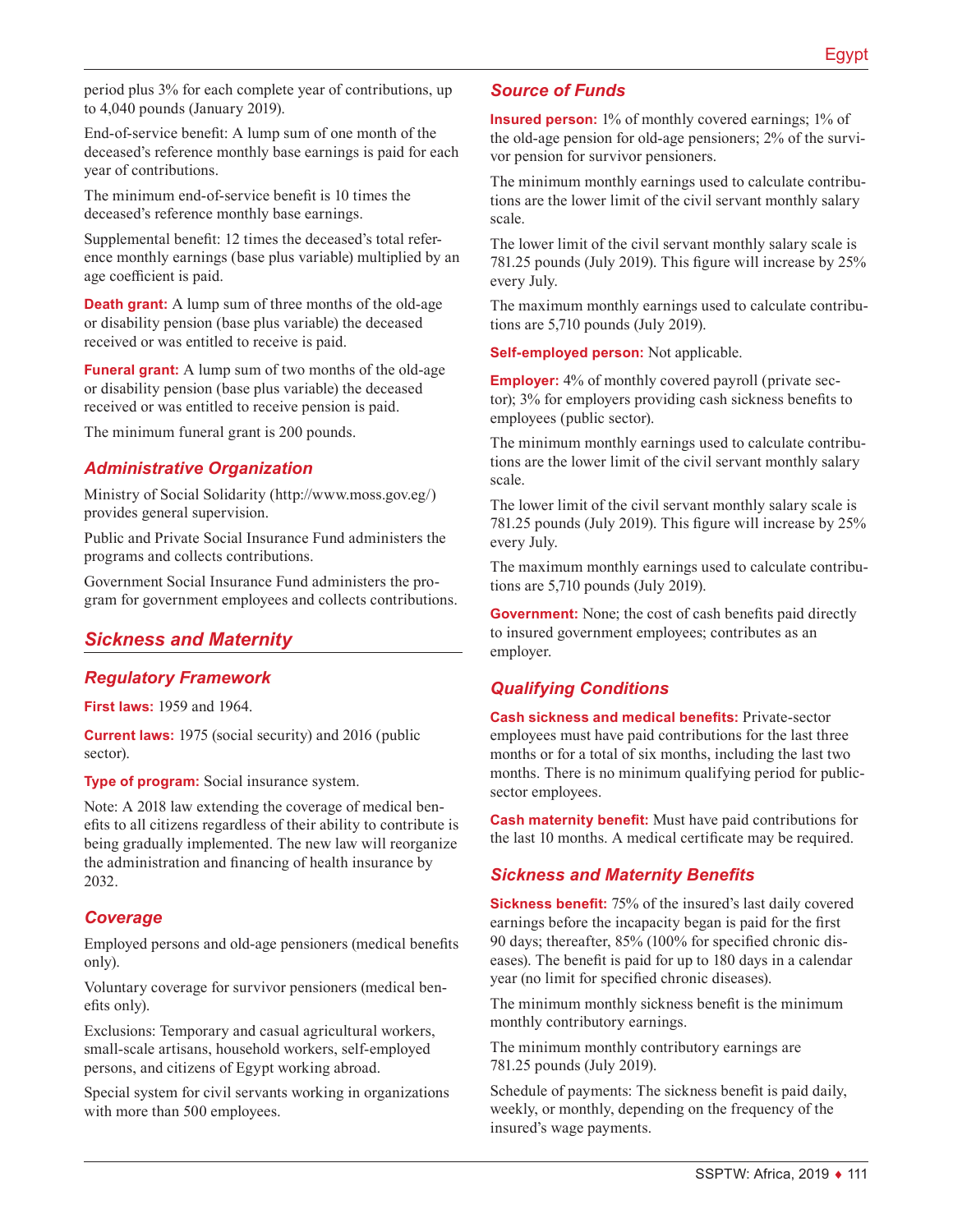period plus 3% for each complete year of contributions, up to 4,040 pounds (January 2019).

End-of-service benefit: A lump sum of one month of the deceased's reference monthly base earnings is paid for each year of contributions.

The minimum end-of-service benefit is 10 times the deceased's reference monthly base earnings.

Supplemental benefit: 12 times the deceased's total reference monthly earnings (base plus variable) multiplied by an age coefficient is paid.

**Death grant:** A lump sum of three months of the old-age or disability pension (base plus variable) the deceased received or was entitled to receive is paid.

**Funeral grant:** A lump sum of two months of the old-age or disability pension (base plus variable) the deceased received or was entitled to receive pension is paid.

The minimum funeral grant is 200 pounds.

### *Administrative Organization*

Ministry of Social Solidarity ([http://www.moss.gov.eg/\)](http://www.moss.gov.eg/) provides general supervision.

Public and Private Social Insurance Fund administers the programs and collects contributions.

Government Social Insurance Fund administers the program for government employees and collects contributions.

## *Sickness and Maternity*

### *Regulatory Framework*

**First laws:** 1959 and 1964.

**Current laws:** 1975 (social security) and 2016 (public sector).

**Type of program:** Social insurance system.

Note: A 2018 law extending the coverage of medical benefits to all citizens regardless of their ability to contribute is being gradually implemented. The new law will reorganize the administration and financing of health insurance by 2032.

#### *Coverage*

Employed persons and old-age pensioners (medical benefits only).

Voluntary coverage for survivor pensioners (medical benefits only).

Exclusions: Temporary and casual agricultural workers, small-scale artisans, household workers, self-employed persons, and citizens of Egypt working abroad.

Special system for civil servants working in organizations with more than 500 employees.

#### *Source of Funds*

**Insured person:** 1% of monthly covered earnings; 1% of the old-age pension for old-age pensioners; 2% of the survivor pension for survivor pensioners.

The minimum monthly earnings used to calculate contributions are the lower limit of the civil servant monthly salary scale.

The lower limit of the civil servant monthly salary scale is 781.25 pounds (July 2019). This figure will increase by 25% every July.

The maximum monthly earnings used to calculate contributions are 5,710 pounds (July 2019).

**Self-employed person:** Not applicable.

**Employer:** 4% of monthly covered payroll (private sector); 3% for employers providing cash sickness benefits to employees (public sector).

The minimum monthly earnings used to calculate contributions are the lower limit of the civil servant monthly salary scale.

The lower limit of the civil servant monthly salary scale is 781.25 pounds (July 2019). This figure will increase by 25% every July.

The maximum monthly earnings used to calculate contributions are 5,710 pounds (July 2019).

**Government:** None; the cost of cash benefits paid directly to insured government employees; contributes as an employer.

### *Qualifying Conditions*

**Cash sickness and medical benefits:** Private-sector employees must have paid contributions for the last three months or for a total of six months, including the last two months. There is no minimum qualifying period for publicsector employees.

**Cash maternity benefit:** Must have paid contributions for the last 10 months. A medical certificate may be required.

### *Sickness and Maternity Benefits*

**Sickness benefit:** 75% of the insured's last daily covered earnings before the incapacity began is paid for the first 90 days; thereafter, 85% (100% for specified chronic diseases). The benefit is paid for up to 180 days in a calendar year (no limit for specified chronic diseases).

The minimum monthly sickness benefit is the minimum monthly contributory earnings.

The minimum monthly contributory earnings are 781.25 pounds (July 2019).

Schedule of payments: The sickness benefit is paid daily, weekly, or monthly, depending on the frequency of the insured's wage payments.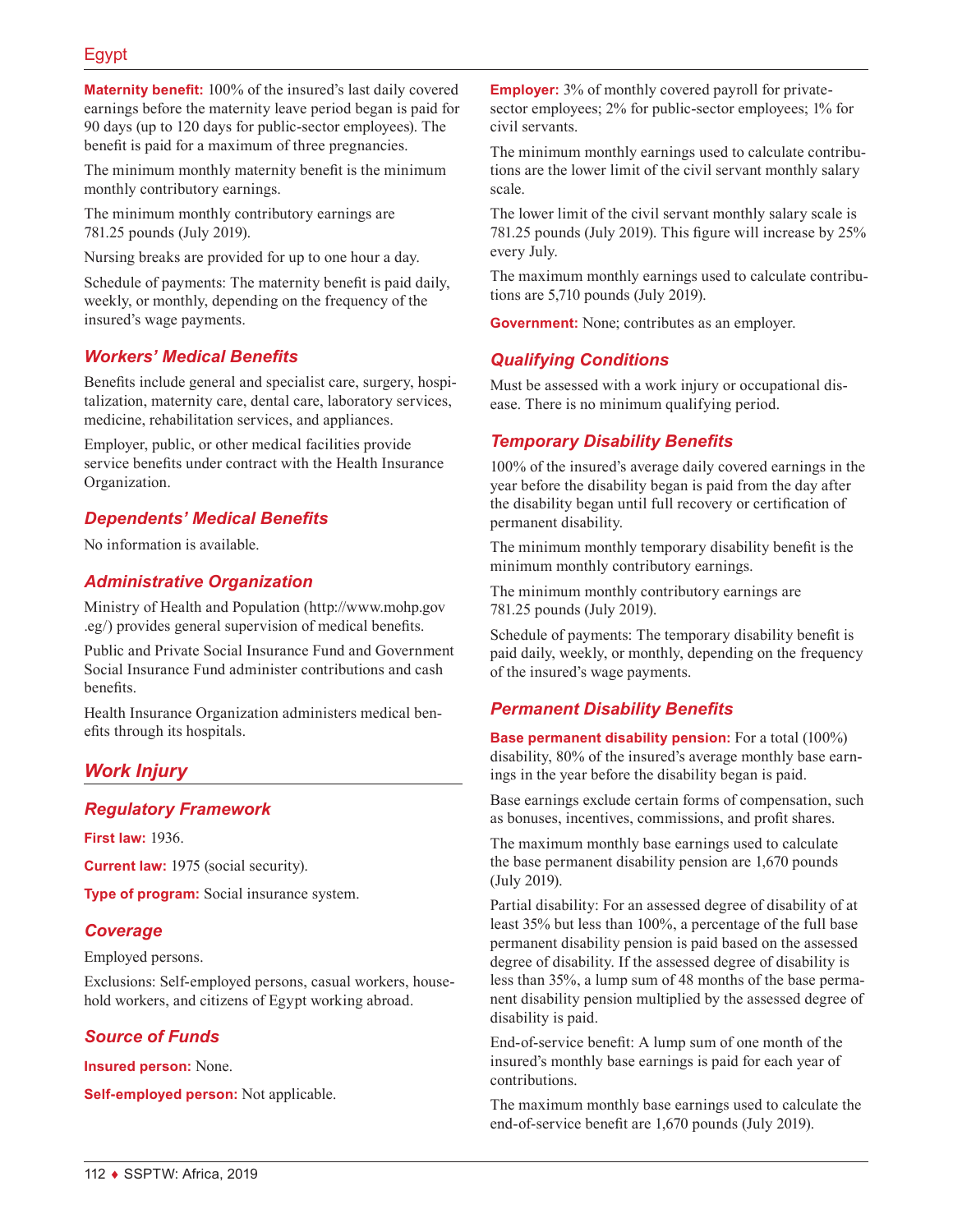## Egypt

**Maternity benefit:** 100% of the insured's last daily covered earnings before the maternity leave period began is paid for 90 days (up to 120 days for public-sector employees). The benefit is paid for a maximum of three pregnancies.

The minimum monthly maternity benefit is the minimum monthly contributory earnings.

The minimum monthly contributory earnings are 781.25 pounds (July 2019).

Nursing breaks are provided for up to one hour a day.

Schedule of payments: The maternity benefit is paid daily, weekly, or monthly, depending on the frequency of the insured's wage payments.

## *Workers' Medical Benefits*

Benefits include general and specialist care, surgery, hospitalization, maternity care, dental care, laboratory services, medicine, rehabilitation services, and appliances.

Employer, public, or other medical facilities provide service benefits under contract with the Health Insurance Organization.

### *Dependents' Medical Benefits*

No information is available.

### *Administrative Organization*

Ministry of Health and Population ([http://www.mohp.gov](http://www.mohp.gov.eg/) [.eg/](http://www.mohp.gov.eg/)) provides general supervision of medical benefits.

Public and Private Social Insurance Fund and Government Social Insurance Fund administer contributions and cash benefits.

Health Insurance Organization administers medical benefits through its hospitals.

### *Work Injury*

#### *Regulatory Framework*

**First law:** 1936.

**Current law:** 1975 (social security).

**Type of program:** Social insurance system.

#### *Coverage*

Employed persons.

Exclusions: Self-employed persons, casual workers, household workers, and citizens of Egypt working abroad.

#### *Source of Funds*

**Insured person:** None.

**Self-employed person:** Not applicable.

**Employer:** 3% of monthly covered payroll for privatesector employees; 2% for public-sector employees; 1% for civil servants.

The minimum monthly earnings used to calculate contributions are the lower limit of the civil servant monthly salary scale.

The lower limit of the civil servant monthly salary scale is 781.25 pounds (July 2019). This figure will increase by 25% every July.

The maximum monthly earnings used to calculate contributions are 5,710 pounds (July 2019).

**Government:** None; contributes as an employer.

### *Qualifying Conditions*

Must be assessed with a work injury or occupational disease. There is no minimum qualifying period.

### *Temporary Disability Benefits*

100% of the insured's average daily covered earnings in the year before the disability began is paid from the day after the disability began until full recovery or certification of permanent disability.

The minimum monthly temporary disability benefit is the minimum monthly contributory earnings.

The minimum monthly contributory earnings are 781.25 pounds (July 2019).

Schedule of payments: The temporary disability benefit is paid daily, weekly, or monthly, depending on the frequency of the insured's wage payments.

### *Permanent Disability Benefits*

**Base permanent disability pension:** For a total (100%) disability, 80% of the insured's average monthly base earnings in the year before the disability began is paid.

Base earnings exclude certain forms of compensation, such as bonuses, incentives, commissions, and profit shares.

The maximum monthly base earnings used to calculate the base permanent disability pension are 1,670 pounds (July 2019).

Partial disability: For an assessed degree of disability of at least 35% but less than 100%, a percentage of the full base permanent disability pension is paid based on the assessed degree of disability. If the assessed degree of disability is less than 35%, a lump sum of 48 months of the base permanent disability pension multiplied by the assessed degree of disability is paid.

End-of-service benefit: A lump sum of one month of the insured's monthly base earnings is paid for each year of contributions.

The maximum monthly base earnings used to calculate the end-of-service benefit are 1,670 pounds (July 2019).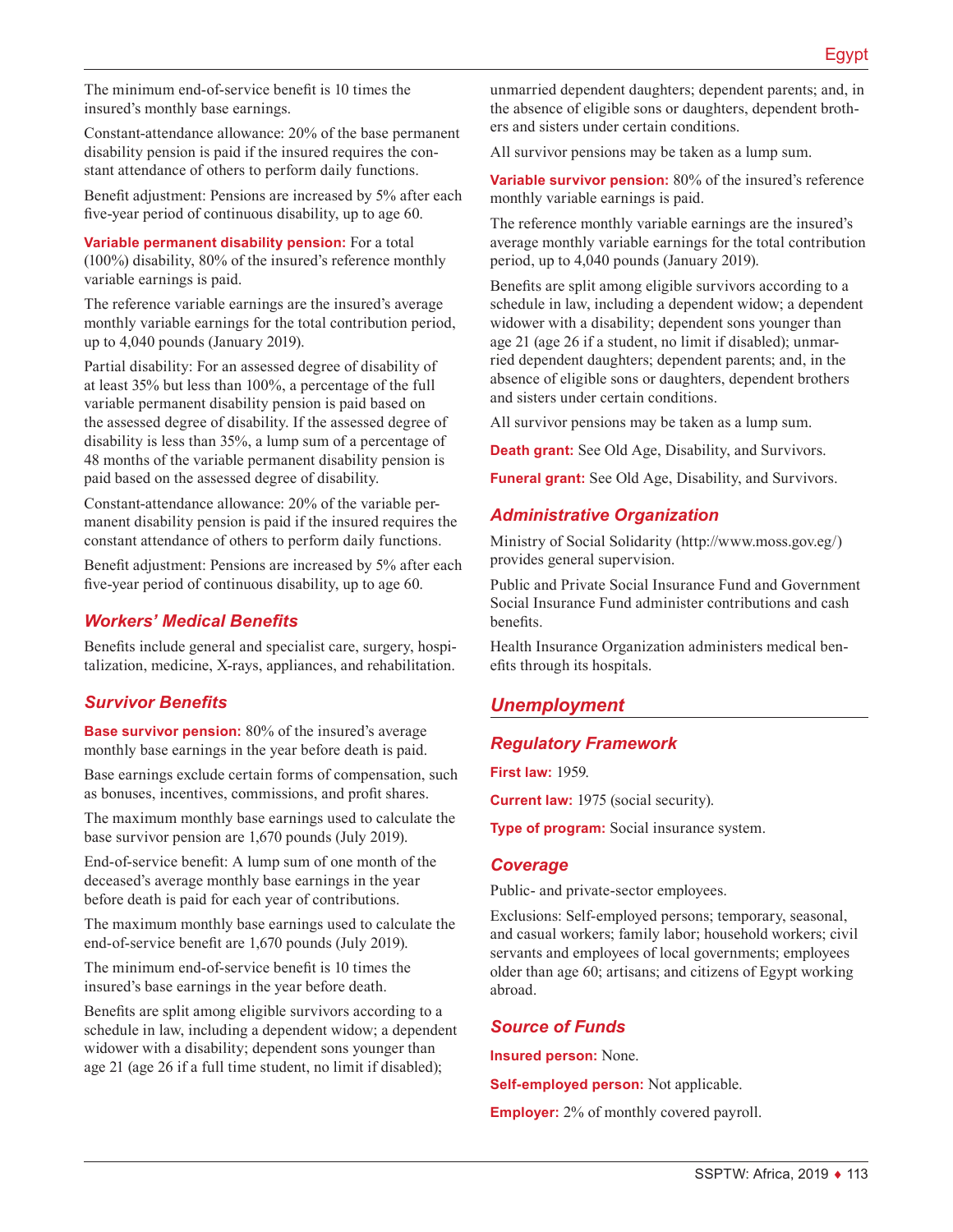The minimum end-of-service benefit is 10 times the insured's monthly base earnings.

Constant-attendance allowance: 20% of the base permanent disability pension is paid if the insured requires the constant attendance of others to perform daily functions.

Benefit adjustment: Pensions are increased by 5% after each five-year period of continuous disability, up to age 60.

**Variable permanent disability pension:** For a total (100%) disability, 80% of the insured's reference monthly variable earnings is paid.

The reference variable earnings are the insured's average monthly variable earnings for the total contribution period, up to 4,040 pounds (January 2019).

Partial disability: For an assessed degree of disability of at least 35% but less than 100%, a percentage of the full variable permanent disability pension is paid based on the assessed degree of disability. If the assessed degree of disability is less than 35%, a lump sum of a percentage of 48 months of the variable permanent disability pension is paid based on the assessed degree of disability.

Constant-attendance allowance: 20% of the variable permanent disability pension is paid if the insured requires the constant attendance of others to perform daily functions.

Benefit adjustment: Pensions are increased by 5% after each five-year period of continuous disability, up to age 60.

## *Workers' Medical Benefits*

Benefits include general and specialist care, surgery, hospitalization, medicine, X-rays, appliances, and rehabilitation.

## *Survivor Benefits*

**Base survivor pension:** 80% of the insured's average monthly base earnings in the year before death is paid.

Base earnings exclude certain forms of compensation, such as bonuses, incentives, commissions, and profit shares.

The maximum monthly base earnings used to calculate the base survivor pension are 1,670 pounds (July 2019).

End-of-service benefit: A lump sum of one month of the deceased's average monthly base earnings in the year before death is paid for each year of contributions.

The maximum monthly base earnings used to calculate the end-of-service benefit are 1,670 pounds (July 2019).

The minimum end-of-service benefit is 10 times the insured's base earnings in the year before death.

Benefits are split among eligible survivors according to a schedule in law, including a dependent widow; a dependent widower with a disability; dependent sons younger than age 21 (age 26 if a full time student, no limit if disabled);

unmarried dependent daughters; dependent parents; and, in the absence of eligible sons or daughters, dependent brothers and sisters under certain conditions.

All survivor pensions may be taken as a lump sum.

**Variable survivor pension:** 80% of the insured's reference monthly variable earnings is paid.

The reference monthly variable earnings are the insured's average monthly variable earnings for the total contribution period, up to 4,040 pounds (January 2019).

Benefits are split among eligible survivors according to a schedule in law, including a dependent widow; a dependent widower with a disability; dependent sons younger than age 21 (age 26 if a student, no limit if disabled); unmarried dependent daughters; dependent parents; and, in the absence of eligible sons or daughters, dependent brothers and sisters under certain conditions.

All survivor pensions may be taken as a lump sum.

**Death grant:** See Old Age, Disability, and Survivors.

**Funeral grant:** See Old Age, Disability, and Survivors.

#### *Administrative Organization*

Ministry of Social Solidarity ([http://www.moss.gov.eg/\)](http://www.moss.gov.eg/) provides general supervision.

Public and Private Social Insurance Fund and Government Social Insurance Fund administer contributions and cash benefits.

Health Insurance Organization administers medical benefits through its hospitals.

## *Unemployment*

### *Regulatory Framework*

**First law:** 1959.

**Current law:** 1975 (social security).

**Type of program:** Social insurance system.

#### *Coverage*

Public- and private-sector employees.

Exclusions: Self-employed persons; temporary, seasonal, and casual workers; family labor; household workers; civil servants and employees of local governments; employees older than age 60; artisans; and citizens of Egypt working abroad.

#### *Source of Funds*

**Insured person:** None.

**Self-employed person:** Not applicable.

**Employer:** 2% of monthly covered payroll.